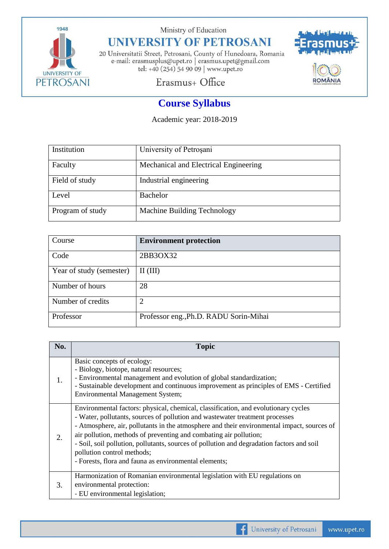

Ministry of Education

## **UNIVERSITY OF PETROSANI**

20 Universitatii Street, Petrosani, County of Hunedoara, Romania e-mail: erasmusplus@upet.ro $\mid$ erasmus.upet@gmail.com tel: +40 (254) 54 90 09 | www.upet.ro



## Erasmus+ Office

## **Course Syllabus**

Academic year: 2018-2019

| Institution      | University of Petrosani               |
|------------------|---------------------------------------|
| Faculty          | Mechanical and Electrical Engineering |
| Field of study   | Industrial engineering                |
| Level            | <b>Bachelor</b>                       |
| Program of study | Machine Building Technology           |

| Course                   | <b>Environment protection</b>          |
|--------------------------|----------------------------------------|
| Code                     | 2BB3OX32                               |
| Year of study (semester) | $\mathbf{II}(\mathbf{III})$            |
| Number of hours          | 28                                     |
| Number of credits        | $\mathcal{D}$                          |
| Professor                | Professor eng., Ph.D. RADU Sorin-Mihai |

| No. | <b>Topic</b>                                                                                                                                                                                                                                                                                                                                                                                                                                                                                                              |
|-----|---------------------------------------------------------------------------------------------------------------------------------------------------------------------------------------------------------------------------------------------------------------------------------------------------------------------------------------------------------------------------------------------------------------------------------------------------------------------------------------------------------------------------|
|     | Basic concepts of ecology:<br>- Biology, biotope, natural resources;<br>- Environmental management and evolution of global standardization;<br>- Sustainable development and continuous improvement as principles of EMS - Certified<br><b>Environmental Management System;</b>                                                                                                                                                                                                                                           |
|     | Environmental factors: physical, chemical, classification, and evolutionary cycles<br>- Water, pollutants, sources of pollution and wastewater treatment processes<br>- Atmosphere, air, pollutants in the atmosphere and their environmental impact, sources of<br>air pollution, methods of preventing and combating air pollution;<br>- Soil, soil pollution, pollutants, sources of pollution and degradation factors and soil<br>pollution control methods;<br>- Forests, flora and fauna as environmental elements; |
| 3.  | Harmonization of Romanian environmental legislation with EU regulations on<br>environmental protection:<br>- EU environmental legislation;                                                                                                                                                                                                                                                                                                                                                                                |